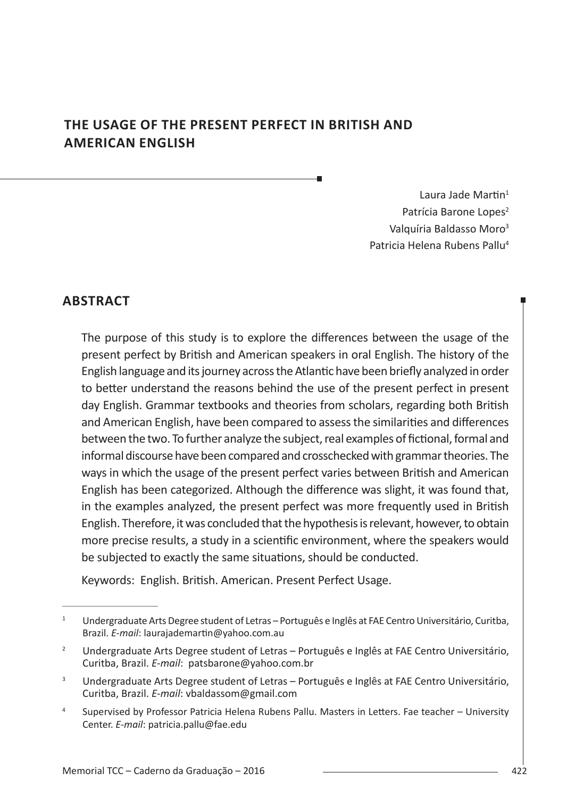# **THE USAGE OF THE PRESENT PERFECT IN BRITISH AND AMERICAN ENGLISH**

Laura Jade Martin<sup>1</sup> Patrícia Barone Lopes<sup>2</sup> Valquíria Baldasso Moro<sup>3</sup> Patricia Helena Rubens Pallu<sup>4</sup>

## **ABSTRACT**

The purpose of this study is to explore the differences between the usage of the present perfect by British and American speakers in oral English. The history of the English language and its journey across the Atlantic have been briefly analyzed in order to better understand the reasons behind the use of the present perfect in present day English. Grammar textbooks and theories from scholars, regarding both British and American English, have been compared to assess the similarities and differences between the two. To further analyze the subject, real examples of fictional, formal and informal discourse have been compared and crosschecked with grammar theories. The ways in which the usage of the present perfect varies between British and American English has been categorized. Although the difference was slight, it was found that, in the examples analyzed, the present perfect was more frequently used in British English. Therefore, it was concluded that the hypothesis is relevant, however, to obtain more precise results, a study in a scientific environment, where the speakers would be subjected to exactly the same situations, should be conducted.

Keywords: English. British. American. Present Perfect Usage.

<sup>&</sup>lt;sup>1</sup> Undergraduate Arts Degree student of Letras – Português e Inglês at FAE Centro Universitário, Curitba, Brazil. *E-mail*: laurajademartin@yahoo.com.au

<sup>2</sup> Undergraduate Arts Degree student of Letras – Português e Inglês at FAE Centro Universitário, Curitba, Brazil. *E-mail*: patsbarone@yahoo.com.br

<sup>&</sup>lt;sup>3</sup> Undergraduate Arts Degree student of Letras – Português e Inglês at FAE Centro Universitário, Curitba, Brazil. *E-mail*: vbaldassom@gmail.com

<sup>4</sup> Supervised by Professor Patricia Helena Rubens Pallu. Masters in Letters. Fae teacher – University Center. *E-mail*: patricia.pallu@fae.edu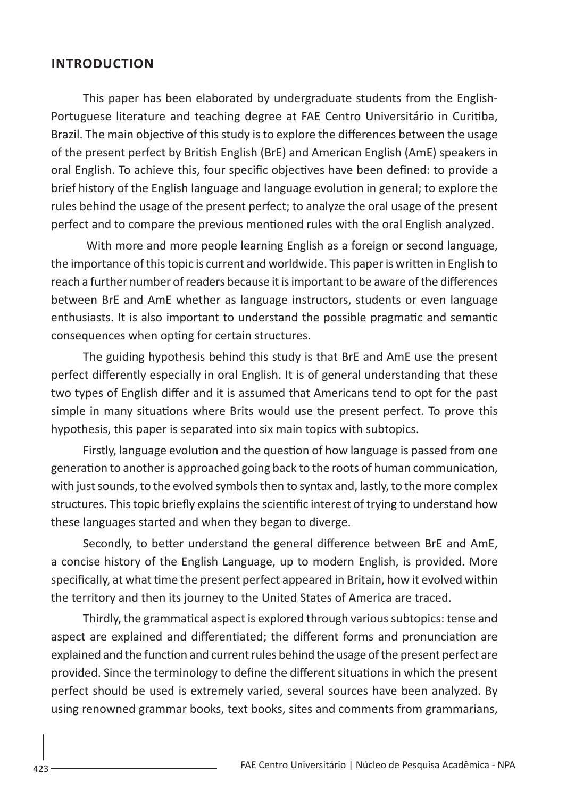#### **INTRODUCTION**

This paper has been elaborated by undergraduate students from the English-Portuguese literature and teaching degree at FAE Centro Universitário in Curitiba, Brazil. The main objective of this study is to explore the differences between the usage of the present perfect by British English (BrE) and American English (AmE) speakers in oral English. To achieve this, four specific objectives have been defined: to provide a brief history of the English language and language evolution in general; to explore the rules behind the usage of the present perfect; to analyze the oral usage of the present perfect and to compare the previous mentioned rules with the oral English analyzed.

 With more and more people learning English as a foreign or second language, the importance of this topic is current and worldwide. This paper is written in English to reach a further number of readers because it is important to be aware of the differences between BrE and AmE whether as language instructors, students or even language enthusiasts. It is also important to understand the possible pragmatic and semantic consequences when opting for certain structures.

The guiding hypothesis behind this study is that BrE and AmE use the present perfect differently especially in oral English. It is of general understanding that these two types of English differ and it is assumed that Americans tend to opt for the past simple in many situations where Brits would use the present perfect. To prove this hypothesis, this paper is separated into six main topics with subtopics.

Firstly, language evolution and the question of how language is passed from one generation to another is approached going back to the roots of human communication, with just sounds, to the evolved symbols then to syntax and, lastly, to the more complex structures. This topic briefly explains the scientific interest of trying to understand how these languages started and when they began to diverge.

Secondly, to better understand the general difference between BrE and AmE, a concise history of the English Language, up to modern English, is provided. More specifically, at what time the present perfect appeared in Britain, how it evolved within the territory and then its journey to the United States of America are traced.

Thirdly, the grammatical aspect is explored through various subtopics: tense and aspect are explained and differentiated; the different forms and pronunciation are explained and the function and current rules behind the usage of the present perfect are provided. Since the terminology to define the different situations in which the present perfect should be used is extremely varied, several sources have been analyzed. By using renowned grammar books, text books, sites and comments from grammarians,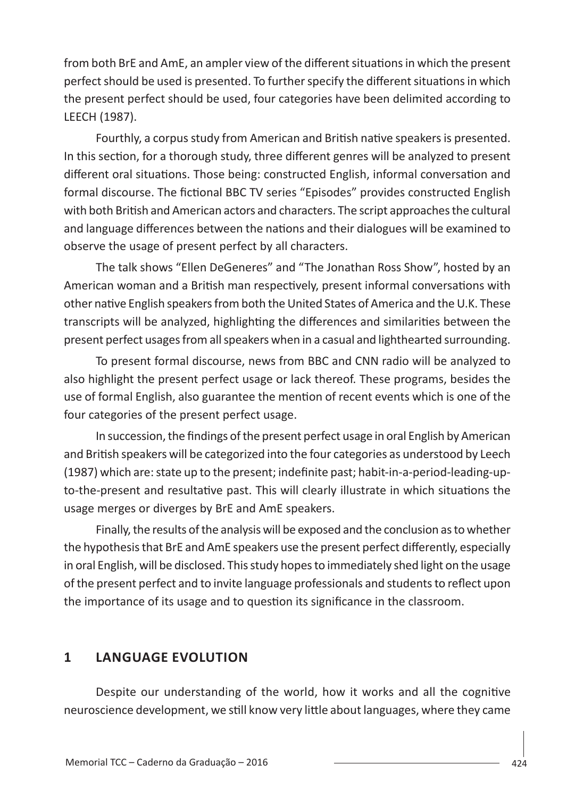from both BrE and AmE, an ampler view of the different situations in which the present perfect should be used is presented. To further specify the different situations in which the present perfect should be used, four categories have been delimited according to LEECH (1987).

Fourthly, a corpus study from American and British native speakers is presented. In this section, for a thorough study, three different genres will be analyzed to present different oral situations. Those being: constructed English, informal conversation and formal discourse. The fictional BBC TV series "Episodes" provides constructed English with both British and American actors and characters. The script approaches the cultural and language differences between the nations and their dialogues will be examined to observe the usage of present perfect by all characters.

The talk shows "Ellen DeGeneres" and "The Jonathan Ross Show", hosted by an American woman and a British man respectively, present informal conversations with other native English speakers from both the United States of America and the U.K. These transcripts will be analyzed, highlighting the differences and similarities between the present perfect usages from all speakers when in a casual and lighthearted surrounding.

To present formal discourse, news from BBC and CNN radio will be analyzed to also highlight the present perfect usage or lack thereof. These programs, besides the use of formal English, also guarantee the mention of recent events which is one of the four categories of the present perfect usage.

In succession, the findings of the present perfect usage in oral English by American and British speakers will be categorized into the four categories as understood by Leech (1987) which are: state up to the present; indefinite past; habit-in-a-period-leading-upto-the-present and resultative past. This will clearly illustrate in which situations the usage merges or diverges by BrE and AmE speakers.

Finally, the results of the analysis will be exposed and the conclusion as to whether the hypothesis that BrE and AmE speakers use the present perfect differently, especially in oral English, will be disclosed. This study hopes to immediately shed light on the usage of the present perfect and to invite language professionals and students to reflect upon the importance of its usage and to question its significance in the classroom.

## **1 LANGUAGE EVOLUTION**

Despite our understanding of the world, how it works and all the cognitive neuroscience development, we still know very little about languages, where they came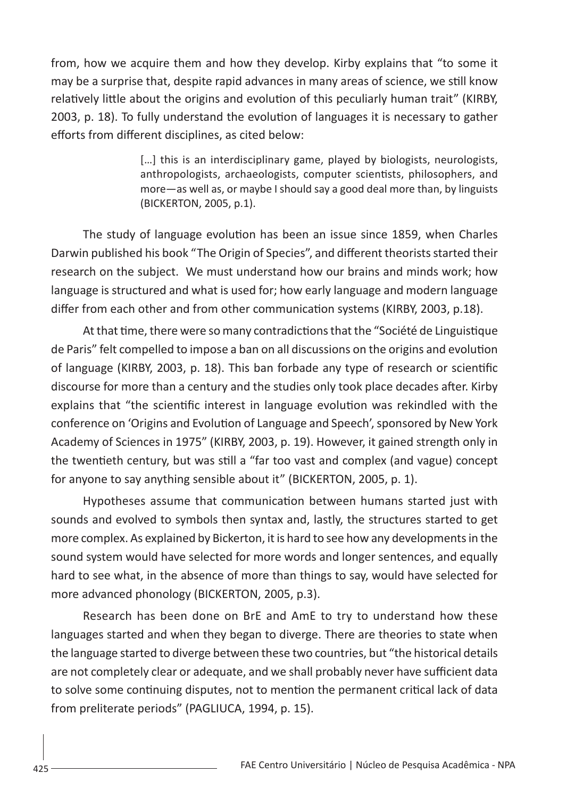from, how we acquire them and how they develop. Kirby explains that "to some it may be a surprise that, despite rapid advances in many areas of science, we still know relatively little about the origins and evolution of this peculiarly human trait" (KIRBY, 2003, p. 18). To fully understand the evolution of languages it is necessary to gather efforts from different disciplines, as cited below:

> [...] this is an interdisciplinary game, played by biologists, neurologists, anthropologists, archaeologists, computer scientists, philosophers, and more—as well as, or maybe I should say a good deal more than, by linguists (BICKERTON, 2005, p.1).

The study of language evolution has been an issue since 1859, when Charles Darwin published his book "The Origin of Species", and different theorists started their research on the subject. We must understand how our brains and minds work; how language is structured and what is used for; how early language and modern language differ from each other and from other communication systems (KIRBY, 2003, p.18).

At that time, there were so many contradictions that the "Société de Linguistique de Paris" felt compelled to impose a ban on all discussions on the origins and evolution of language (KIRBY, 2003, p. 18). This ban forbade any type of research or scientific discourse for more than a century and the studies only took place decades after. Kirby explains that "the scientific interest in language evolution was rekindled with the conference on 'Origins and Evolution of Language and Speech', sponsored by New York Academy of Sciences in 1975" (KIRBY, 2003, p. 19). However, it gained strength only in the twentieth century, but was still a "far too vast and complex (and vague) concept for anyone to say anything sensible about it" (BICKERTON, 2005, p. 1).

Hypotheses assume that communication between humans started just with sounds and evolved to symbols then syntax and, lastly, the structures started to get more complex. As explained by Bickerton, it is hard to see how any developments in the sound system would have selected for more words and longer sentences, and equally hard to see what, in the absence of more than things to say, would have selected for more advanced phonology (BICKERTON, 2005, p.3).

Research has been done on BrE and AmE to try to understand how these languages started and when they began to diverge. There are theories to state when the language started to diverge between these two countries, but "the historical details are not completely clear or adequate, and we shall probably never have sufficient data to solve some continuing disputes, not to mention the permanent critical lack of data from preliterate periods" (PAGLIUCA, 1994, p. 15).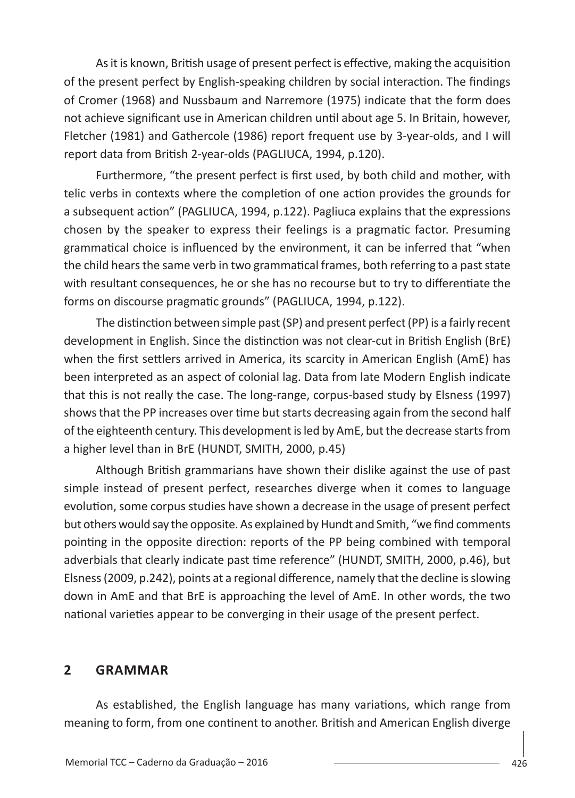As it is known, British usage of present perfect is effective, making the acquisition of the present perfect by English-speaking children by social interaction. The findings of Cromer (1968) and Nussbaum and Narremore (1975) indicate that the form does not achieve significant use in American children until about age 5. In Britain, however, Fletcher (1981) and Gathercole (1986) report frequent use by 3-year-olds, and I will report data from British 2-year-olds (PAGLIUCA, 1994, p.120).

Furthermore, "the present perfect is first used, by both child and mother, with telic verbs in contexts where the completion of one action provides the grounds for a subsequent action" (PAGLIUCA, 1994, p.122). Pagliuca explains that the expressions chosen by the speaker to express their feelings is a pragmatic factor. Presuming grammatical choice is influenced by the environment, it can be inferred that "when the child hears the same verb in two grammatical frames, both referring to a past state with resultant consequences, he or she has no recourse but to try to differentiate the forms on discourse pragmatic grounds" (PAGLIUCA, 1994, p.122).

The distinction between simple past (SP) and present perfect (PP) is a fairly recent development in English. Since the distinction was not clear-cut in British English (BrE) when the first settlers arrived in America, its scarcity in American English (AmE) has been interpreted as an aspect of colonial lag. Data from late Modern English indicate that this is not really the case. The long-range, corpus-based study by Elsness (1997) shows that the PP increases over time but starts decreasing again from the second half of the eighteenth century. This development is led by AmE, but the decrease starts from a higher level than in BrE (HUNDT, SMITH, 2000, p.45)

Although British grammarians have shown their dislike against the use of past simple instead of present perfect, researches diverge when it comes to language evolution, some corpus studies have shown a decrease in the usage of present perfect but others would say the opposite. As explained by Hundt and Smith, "we find comments pointing in the opposite direction: reports of the PP being combined with temporal adverbials that clearly indicate past time reference" (HUNDT, SMITH, 2000, p.46), but Elsness (2009, p.242), points at a regional difference, namely that the decline is slowing down in AmE and that BrE is approaching the level of AmE. In other words, the two national varieties appear to be converging in their usage of the present perfect.

### **2 GRAMMAR**

As established, the English language has many variations, which range from meaning to form, from one continent to another. British and American English diverge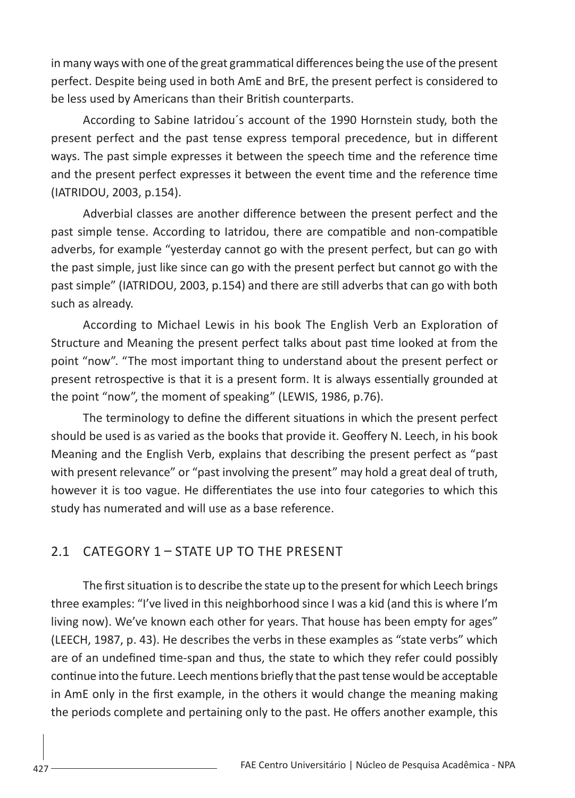in many ways with one of the great grammatical differences being the use of the present perfect. Despite being used in both AmE and BrE, the present perfect is considered to be less used by Americans than their British counterparts.

According to Sabine Iatridou´s account of the 1990 Hornstein study, both the present perfect and the past tense express temporal precedence, but in different ways. The past simple expresses it between the speech time and the reference time and the present perfect expresses it between the event time and the reference time (IATRIDOU, 2003, p.154).

Adverbial classes are another difference between the present perfect and the past simple tense. According to Iatridou, there are compatible and non-compatible adverbs, for example "yesterday cannot go with the present perfect, but can go with the past simple, just like since can go with the present perfect but cannot go with the past simple" (IATRIDOU, 2003, p.154) and there are still adverbs that can go with both such as already.

According to Michael Lewis in his book The English Verb an Exploration of Structure and Meaning the present perfect talks about past time looked at from the point "now". "The most important thing to understand about the present perfect or present retrospective is that it is a present form. It is always essentially grounded at the point "now", the moment of speaking" (LEWIS, 1986, p.76).

The terminology to define the different situations in which the present perfect should be used is as varied as the books that provide it. Geoffery N. Leech, in his book Meaning and the English Verb, explains that describing the present perfect as "past with present relevance" or "past involving the present" may hold a great deal of truth, however it is too vague. He differentiates the use into four categories to which this study has numerated and will use as a base reference.

## 2.1 CATEGORY 1 – STATE UP TO THE PRESENT

The first situation is to describe the state up to the present for which Leech brings three examples: "I've lived in this neighborhood since I was a kid (and this is where I'm living now). We've known each other for years. That house has been empty for ages" (LEECH, 1987, p. 43). He describes the verbs in these examples as "state verbs" which are of an undefined time-span and thus, the state to which they refer could possibly continue into the future. Leech mentions briefly that the past tense would be acceptable in AmE only in the first example, in the others it would change the meaning making the periods complete and pertaining only to the past. He offers another example, this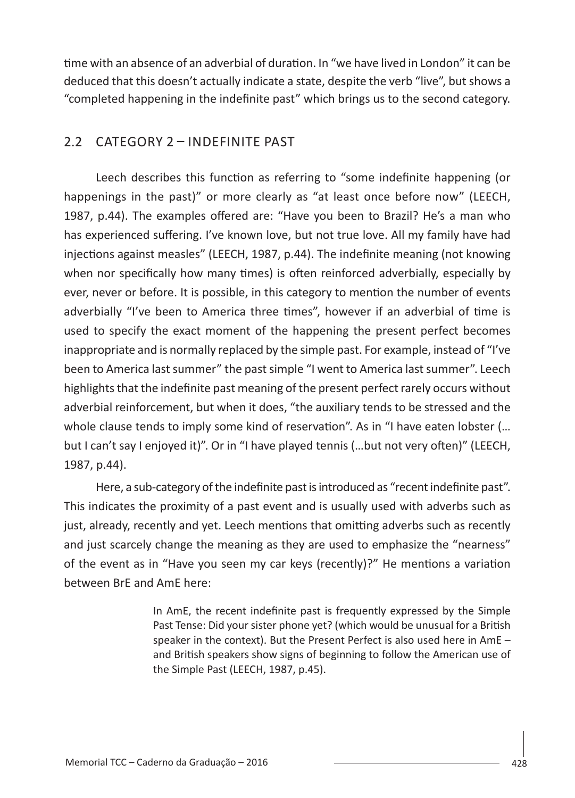time with an absence of an adverbial of duration. In "we have lived in London" it can be deduced that this doesn't actually indicate a state, despite the verb "live", but shows a "completed happening in the indefinite past" which brings us to the second category.

## 2.2 CATEGORY 2 – INDEFINITE PAST

Leech describes this function as referring to "some indefinite happening (or happenings in the past)" or more clearly as "at least once before now" (LEECH, 1987, p.44). The examples offered are: "Have you been to Brazil? He's a man who has experienced suffering. I've known love, but not true love. All my family have had injections against measles" (LEECH, 1987, p.44). The indefinite meaning (not knowing when nor specifically how many times) is often reinforced adverbially, especially by ever, never or before. It is possible, in this category to mention the number of events adverbially "I've been to America three times", however if an adverbial of time is used to specify the exact moment of the happening the present perfect becomes inappropriate and is normally replaced by the simple past. For example, instead of "I've been to America last summer" the past simple "I went to America last summer". Leech highlights that the indefinite past meaning of the present perfect rarely occurs without adverbial reinforcement, but when it does, "the auxiliary tends to be stressed and the whole clause tends to imply some kind of reservation". As in "I have eaten lobster (... but I can't say I enjoyed it)". Or in "I have played tennis (…but not very often)" (LEECH, 1987, p.44).

Here, a sub-category of the indefinite past is introduced as "recent indefinite past". This indicates the proximity of a past event and is usually used with adverbs such as just, already, recently and yet. Leech mentions that omitting adverbs such as recently and just scarcely change the meaning as they are used to emphasize the "nearness" of the event as in "Have you seen my car keys (recently)?" He mentions a variation between BrE and AmE here:

> In AmE, the recent indefinite past is frequently expressed by the Simple Past Tense: Did your sister phone yet? (which would be unusual for a British speaker in the context). But the Present Perfect is also used here in AmE – and British speakers show signs of beginning to follow the American use of the Simple Past (LEECH, 1987, p.45).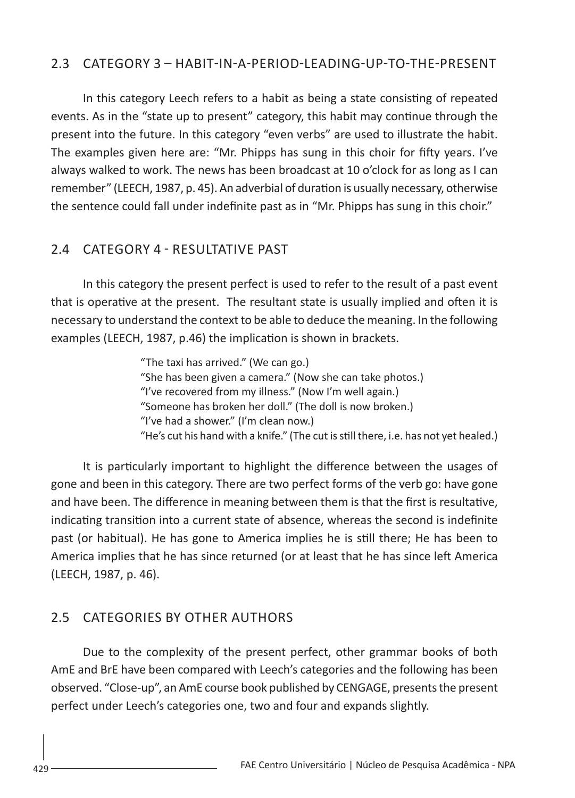#### 2.3 CATEGORY 3 – HABIT-IN-A-PERIOD-LEADING-UP-TO-THE-PRESENT

In this category Leech refers to a habit as being a state consisting of repeated events. As in the "state up to present" category, this habit may continue through the present into the future. In this category "even verbs" are used to illustrate the habit. The examples given here are: "Mr. Phipps has sung in this choir for fifty years. I've always walked to work. The news has been broadcast at 10 o'clock for as long as I can remember" (LEECH, 1987, p. 45). An adverbial of duration is usually necessary, otherwise the sentence could fall under indefinite past as in "Mr. Phipps has sung in this choir."

### 2.4 CATEGORY 4 - RESULTATIVE PAST

In this category the present perfect is used to refer to the result of a past event that is operative at the present. The resultant state is usually implied and often it is necessary to understand the context to be able to deduce the meaning. In the following examples (LEECH, 1987, p.46) the implication is shown in brackets.

> "The taxi has arrived." (We can go.) "She has been given a camera." (Now she can take photos.) "I've recovered from my illness." (Now I'm well again.) "Someone has broken her doll." (The doll is now broken.) "I've had a shower." (I'm clean now.) "He's cut his hand with a knife." (The cut is still there, i.e. has not yet healed.)

It is particularly important to highlight the difference between the usages of gone and been in this category. There are two perfect forms of the verb go: have gone and have been. The difference in meaning between them is that the first is resultative, indicating transition into a current state of absence, whereas the second is indefinite past (or habitual). He has gone to America implies he is still there; He has been to America implies that he has since returned (or at least that he has since left America (LEECH, 1987, p. 46).

### 2.5 CATEGORIES BY OTHER AUTHORS

Due to the complexity of the present perfect, other grammar books of both AmE and BrE have been compared with Leech's categories and the following has been observed. "Close-up", an AmE course book published by CENGAGE, presents the present perfect under Leech's categories one, two and four and expands slightly.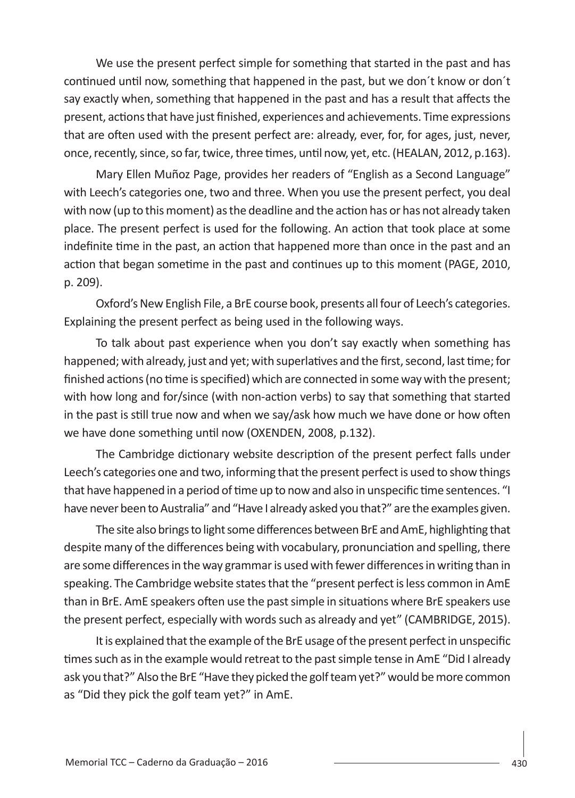We use the present perfect simple for something that started in the past and has continued until now, something that happened in the past, but we don´t know or don´t say exactly when, something that happened in the past and has a result that affects the present, actions that have just finished, experiences and achievements. Time expressions that are often used with the present perfect are: already, ever, for, for ages, just, never, once, recently, since, so far, twice, three times, until now, yet, etc. (HEALAN, 2012, p.163).

Mary Ellen Muñoz Page, provides her readers of "English as a Second Language" with Leech's categories one, two and three. When you use the present perfect, you deal with now (up to this moment) as the deadline and the action has or has not already taken place. The present perfect is used for the following. An action that took place at some indefinite time in the past, an action that happened more than once in the past and an action that began sometime in the past and continues up to this moment (PAGE, 2010, p. 209).

Oxford's New English File, a BrE course book, presents all four of Leech's categories. Explaining the present perfect as being used in the following ways.

To talk about past experience when you don't say exactly when something has happened; with already, just and yet; with superlatives and the first, second, last time; for finished actions (no time is specified) which are connected in some way with the present; with how long and for/since (with non-action verbs) to say that something that started in the past is still true now and when we say/ask how much we have done or how often we have done something until now (OXENDEN, 2008, p.132).

The Cambridge dictionary website description of the present perfect falls under Leech's categories one and two, informing that the present perfect is used to show things that have happened in a period of time up to now and also in unspecific time sentences. "I have never been to Australia" and "Have I already asked you that?" are the examples given.

The site also brings to light some differences between BrE and AmE, highlighting that despite many of the differences being with vocabulary, pronunciation and spelling, there are some differences in the way grammar is used with fewer differences in writing than in speaking. The Cambridge website states that the "present perfect is less common in AmE than in BrE. AmE speakers often use the past simple in situations where BrE speakers use the present perfect, especially with words such as already and yet" (CAMBRIDGE, 2015).

It is explained that the example of the BrE usage of the present perfect in unspecific times such as in the example would retreat to the past simple tense in AmE "Did I already ask you that?" Also the BrE "Have they picked the golf team yet?" would be more common as "Did they pick the golf team yet?" in AmE.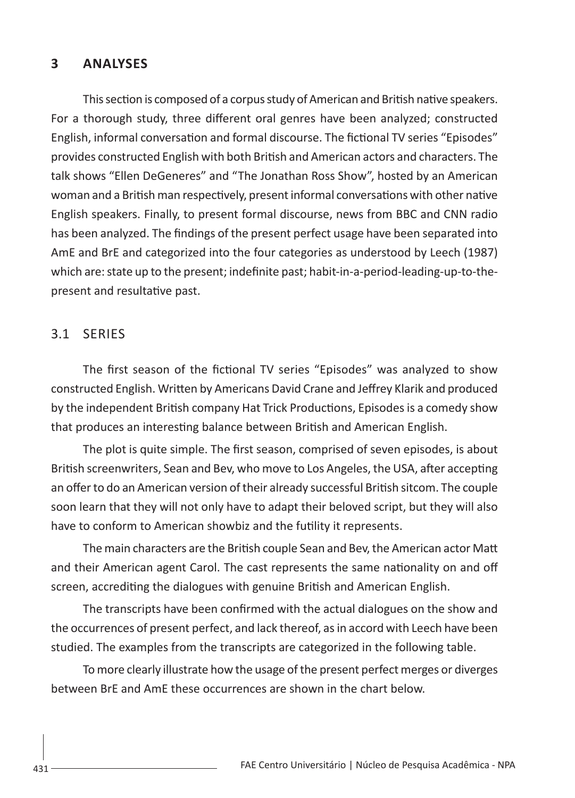#### **3 ANALYSES**

This section is composed of a corpus study of American and British native speakers. For a thorough study, three different oral genres have been analyzed; constructed English, informal conversation and formal discourse. The fictional TV series "Episodes" provides constructed English with both British and American actors and characters. The talk shows "Ellen DeGeneres" and "The Jonathan Ross Show", hosted by an American woman and a British man respectively, present informal conversations with other native English speakers. Finally, to present formal discourse, news from BBC and CNN radio has been analyzed. The findings of the present perfect usage have been separated into AmE and BrE and categorized into the four categories as understood by Leech (1987) which are: state up to the present; indefinite past; habit-in-a-period-leading-up-to-thepresent and resultative past.

### 3.1 SERIES

The first season of the fictional TV series "Episodes" was analyzed to show constructed English. Written by Americans David Crane and Jeffrey Klarik and produced by the independent British company Hat Trick Productions, Episodes is a comedy show that produces an interesting balance between British and American English.

The plot is quite simple. The first season, comprised of seven episodes, is about British screenwriters, Sean and Bev, who move to Los Angeles, the USA, after accepting an offer to do an American version of their already successful British sitcom. The couple soon learn that they will not only have to adapt their beloved script, but they will also have to conform to American showbiz and the futility it represents.

The main characters are the British couple Sean and Bev, the American actor Matt and their American agent Carol. The cast represents the same nationality on and off screen, accrediting the dialogues with genuine British and American English.

The transcripts have been confirmed with the actual dialogues on the show and the occurrences of present perfect, and lack thereof, as in accord with Leech have been studied. The examples from the transcripts are categorized in the following table.

To more clearly illustrate how the usage of the present perfect merges or diverges between BrE and AmE these occurrences are shown in the chart below.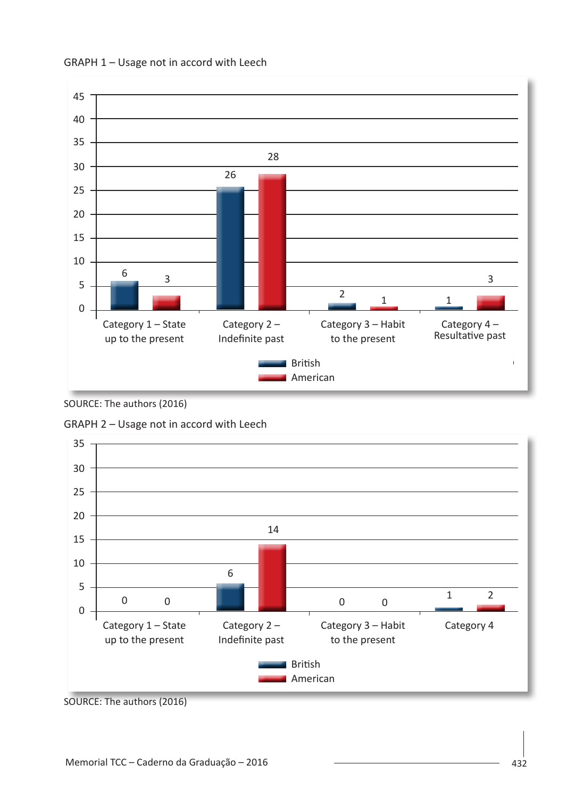

GRAPH 1 – Usage not in accord with Leech



GRAPH 2 – Usage not in accord with Leech



SOURCE: The authors (2016)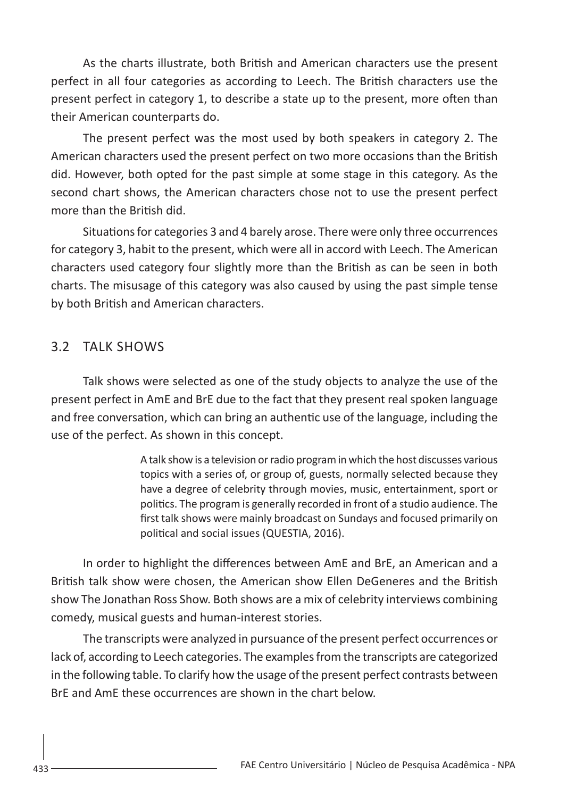As the charts illustrate, both British and American characters use the present perfect in all four categories as according to Leech. The British characters use the present perfect in category 1, to describe a state up to the present, more often than their American counterparts do.

The present perfect was the most used by both speakers in category 2. The American characters used the present perfect on two more occasions than the British did. However, both opted for the past simple at some stage in this category. As the second chart shows, the American characters chose not to use the present perfect more than the British did.

Situations for categories 3 and 4 barely arose. There were only three occurrences for category 3, habit to the present, which were all in accord with Leech. The American characters used category four slightly more than the British as can be seen in both charts. The misusage of this category was also caused by using the past simple tense by both British and American characters.

### 3.2 TALK SHOWS

Talk shows were selected as one of the study objects to analyze the use of the present perfect in AmE and BrE due to the fact that they present real spoken language and free conversation, which can bring an authentic use of the language, including the use of the perfect. As shown in this concept.

> A talk show is a television or radio program in which the host discusses various topics with a series of, or group of, guests, normally selected because they have a degree of celebrity through movies, music, entertainment, sport or politics. The program is generally recorded in front of a studio audience. The first talk shows were mainly broadcast on Sundays and focused primarily on political and social issues (QUESTIA, 2016).

In order to highlight the differences between AmE and BrE, an American and a British talk show were chosen, the American show Ellen DeGeneres and the British show The Jonathan Ross Show. Both shows are a mix of celebrity interviews combining comedy, musical guests and human-interest stories.

The transcripts were analyzed in pursuance of the present perfect occurrences or lack of, according to Leech categories. The examples from the transcripts are categorized in the following table. To clarify how the usage of the present perfect contrasts between BrE and AmE these occurrences are shown in the chart below.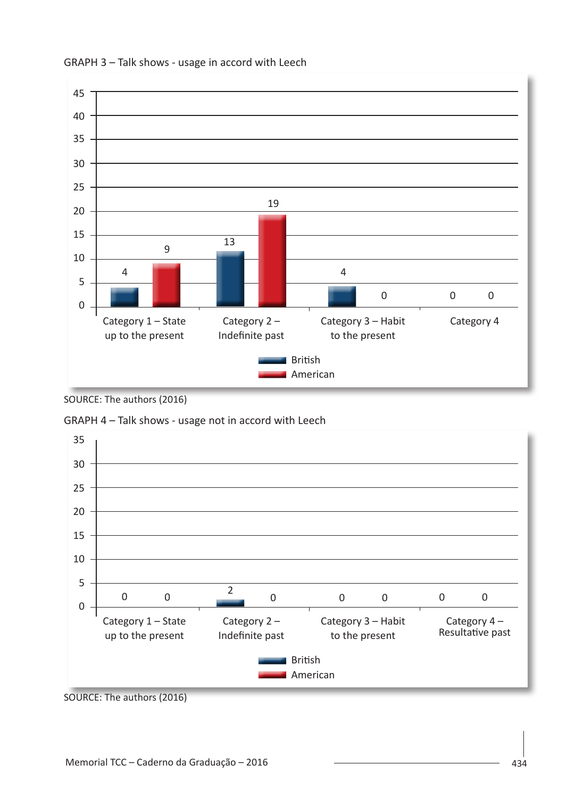

#### GRAPH 3 – Talk shows - usage in accord with Leech



GRAPH 4 – Talk shows - usage not in accord with Leech



SOURCE: The authors (2016)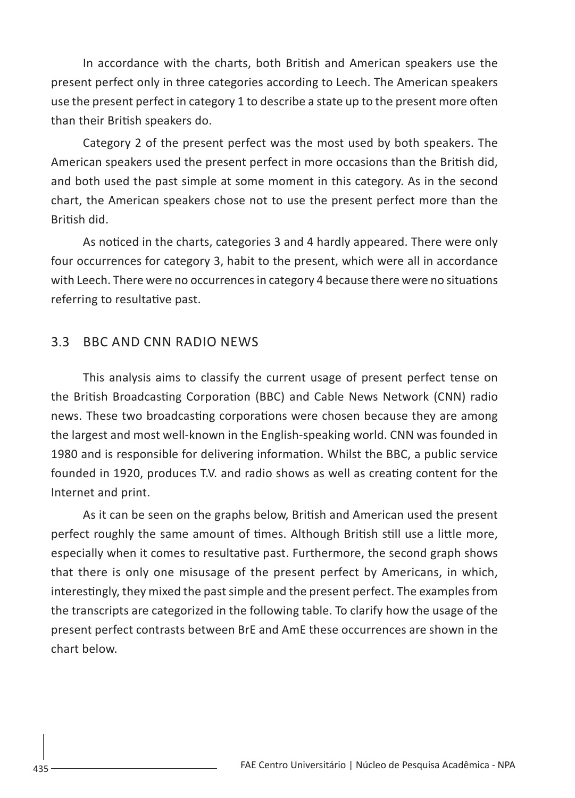In accordance with the charts, both British and American speakers use the present perfect only in three categories according to Leech. The American speakers use the present perfect in category 1 to describe a state up to the present more often than their British speakers do.

Category 2 of the present perfect was the most used by both speakers. The American speakers used the present perfect in more occasions than the British did, and both used the past simple at some moment in this category. As in the second chart, the American speakers chose not to use the present perfect more than the British did.

As noticed in the charts, categories 3 and 4 hardly appeared. There were only four occurrences for category 3, habit to the present, which were all in accordance with Leech. There were no occurrences in category 4 because there were no situations referring to resultative past.

### 3.3 BBC AND CNN RADIO NEWS

This analysis aims to classify the current usage of present perfect tense on the British Broadcasting Corporation (BBC) and Cable News Network (CNN) radio news. These two broadcasting corporations were chosen because they are among the largest and most well-known in the English-speaking world. CNN was founded in 1980 and is responsible for delivering information. Whilst the BBC, a public service founded in 1920, produces T.V. and radio shows as well as creating content for the Internet and print.

As it can be seen on the graphs below, British and American used the present perfect roughly the same amount of times. Although British still use a little more, especially when it comes to resultative past. Furthermore, the second graph shows that there is only one misusage of the present perfect by Americans, in which, interestingly, they mixed the past simple and the present perfect. The examples from the transcripts are categorized in the following table. To clarify how the usage of the present perfect contrasts between BrE and AmE these occurrences are shown in the chart below.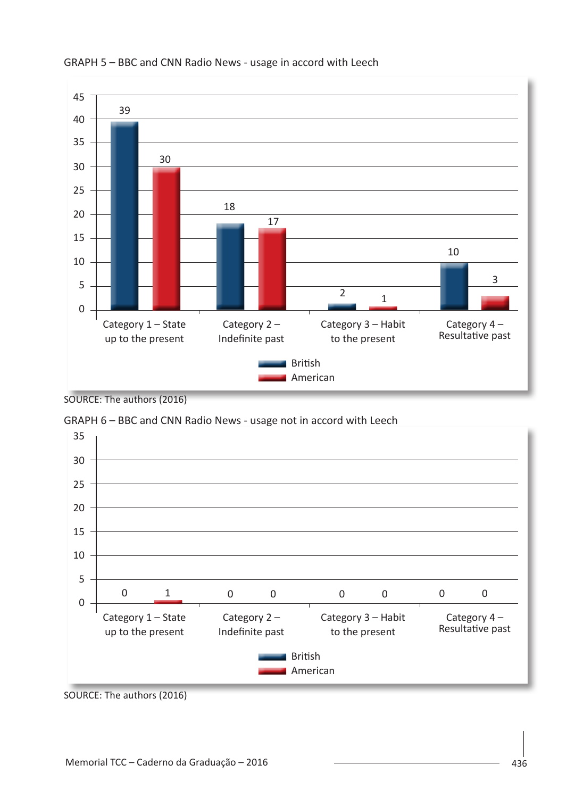

#### GRAPH 5 – BBC and CNN Radio News - usage in accord with Leech

SOURCE: The authors (2016)



GRAPH 6 – BBC and CNN Radio News - usage not in accord with Leech

SOURCE: The authors (2016)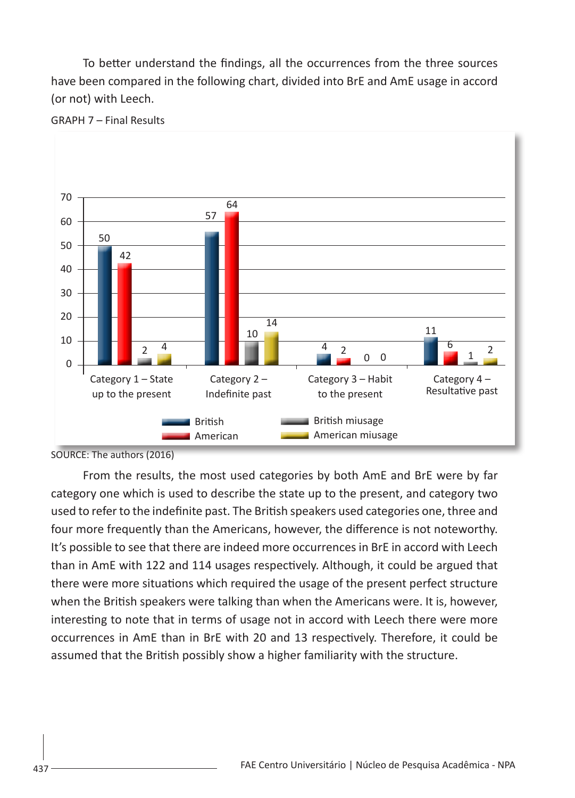To better understand the findings, all the occurrences from the three sources have been compared in the following chart, divided into BrE and AmE usage in accord (or not) with Leech.



GRAPH 7 – Final Results

From the results, the most used categories by both AmE and BrE were by far category one which is used to describe the state up to the present, and category two used to refer to the indefinite past. The British speakers used categories one, three and four more frequently than the Americans, however, the difference is not noteworthy. It's possible to see that there are indeed more occurrences in BrE in accord with Leech than in AmE with 122 and 114 usages respectively. Although, it could be argued that there were more situations which required the usage of the present perfect structure when the British speakers were talking than when the Americans were. It is, however, interesting to note that in terms of usage not in accord with Leech there were more occurrences in AmE than in BrE with 20 and 13 respectively. Therefore, it could be assumed that the British possibly show a higher familiarity with the structure.

SOURCE: The authors (2016)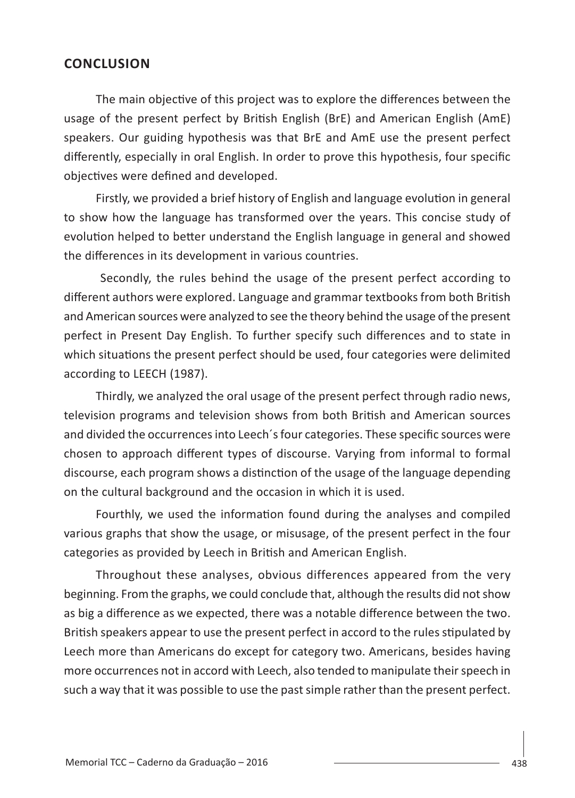### **CONCLUSION**

The main objective of this project was to explore the differences between the usage of the present perfect by British English (BrE) and American English (AmE) speakers. Our guiding hypothesis was that BrE and AmE use the present perfect differently, especially in oral English. In order to prove this hypothesis, four specific objectives were defined and developed.

Firstly, we provided a brief history of English and language evolution in general to show how the language has transformed over the years. This concise study of evolution helped to better understand the English language in general and showed the differences in its development in various countries.

 Secondly, the rules behind the usage of the present perfect according to different authors were explored. Language and grammar textbooks from both British and American sources were analyzed to see the theory behind the usage of the present perfect in Present Day English. To further specify such differences and to state in which situations the present perfect should be used, four categories were delimited according to LEECH (1987).

Thirdly, we analyzed the oral usage of the present perfect through radio news, television programs and television shows from both British and American sources and divided the occurrences into Leech´s four categories. These specific sources were chosen to approach different types of discourse. Varying from informal to formal discourse, each program shows a distinction of the usage of the language depending on the cultural background and the occasion in which it is used.

Fourthly, we used the information found during the analyses and compiled various graphs that show the usage, or misusage, of the present perfect in the four categories as provided by Leech in British and American English.

Throughout these analyses, obvious differences appeared from the very beginning. From the graphs, we could conclude that, although the results did not show as big a difference as we expected, there was a notable difference between the two. British speakers appear to use the present perfect in accord to the rules stipulated by Leech more than Americans do except for category two. Americans, besides having more occurrences not in accord with Leech, also tended to manipulate their speech in such a way that it was possible to use the past simple rather than the present perfect.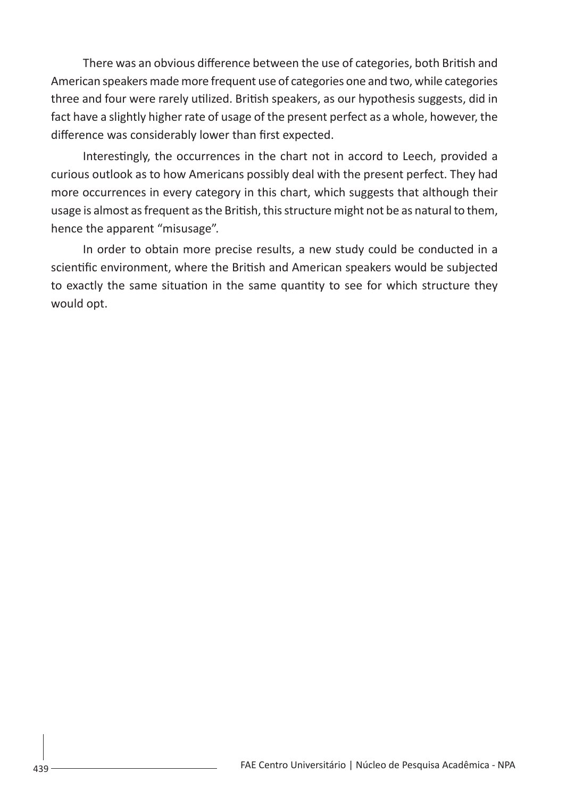There was an obvious difference between the use of categories, both British and American speakers made more frequent use of categories one and two, while categories three and four were rarely utilized. British speakers, as our hypothesis suggests, did in fact have a slightly higher rate of usage of the present perfect as a whole, however, the difference was considerably lower than first expected.

Interestingly, the occurrences in the chart not in accord to Leech, provided a curious outlook as to how Americans possibly deal with the present perfect. They had more occurrences in every category in this chart, which suggests that although their usage is almost as frequent as the British, this structure might not be as natural to them, hence the apparent "misusage".

In order to obtain more precise results, a new study could be conducted in a scientific environment, where the British and American speakers would be subjected to exactly the same situation in the same quantity to see for which structure they would opt.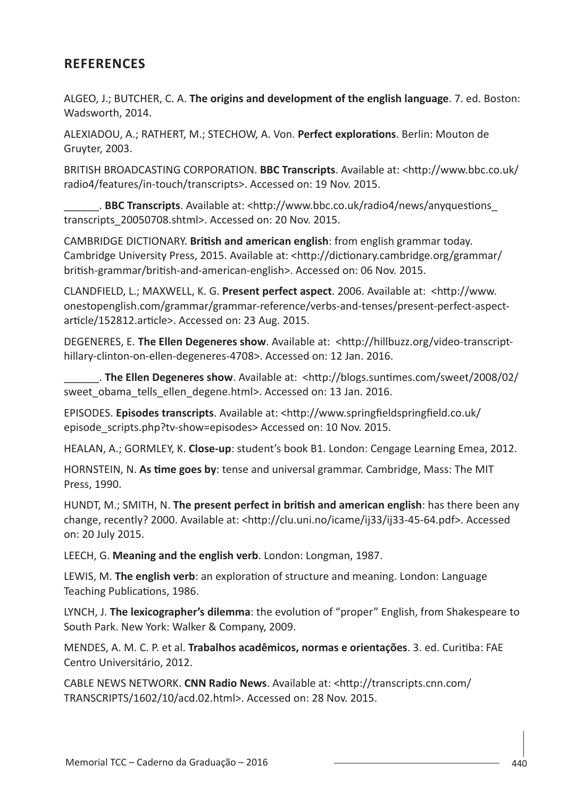## **REFERENCES**

ALGEO, J.; BUTCHER, C. A. **The origins and development of the english language**. 7. ed. Boston: Wadsworth, 2014.

ALEXIADOU, A.; RATHERT, M.; STECHOW, A. Von. **Perfect explorations**. Berlin: Mouton de Gruyter, 2003.

BRITISH BROADCASTING CORPORATION. **BBC Transcripts**. Available at: <http://www.bbc.co.uk/ radio4/features/in-touch/transcripts>. Accessed on: 19 Nov. 2015.

\_\_\_\_\_\_. **BBC Transcripts**. Available at: <http://www.bbc.co.uk/radio4/news/anyquestions\_ transcripts 20050708.shtml>. Accessed on: 20 Nov. 2015.

CAMBRIDGE DICTIONARY. **British and american english**: from english grammar today. Cambridge University Press, 2015. Available at: <http://dictionary.cambridge.org/grammar/ british-grammar/british-and-american-english>. Accessed on: 06 Nov. 2015.

CLANDFIELD, L.; MAXWELL, K. G. **Present perfect aspect**. 2006. Available at: <http://www. onestopenglish.com/grammar/grammar-reference/verbs-and-tenses/present-perfect-aspectarticle/152812.article>. Accessed on: 23 Aug. 2015.

DEGENERES, E. **The Ellen Degeneres show**. Available at: <http://hillbuzz.org/video-transcripthillary-clinton-on-ellen-degeneres-4708>. Accessed on: 12 Jan. 2016.

\_\_\_\_\_\_. **The Ellen Degeneres show**. Available at: <http://blogs.suntimes.com/sweet/2008/02/ sweet obama\_tells\_ellen\_degene.html>. Accessed on: 13 Jan. 2016.

EPISODES. **Episodes transcripts**. Available at: <http://www.springfieldspringfield.co.uk/ episode\_scripts.php?tv-show=episodes> Accessed on: 10 Nov. 2015.

HEALAN, A.; GORMLEY, K. **Close-up**: student's book B1. London: Cengage Learning Emea, 2012.

HORNSTEIN, N. **As time goes by**: tense and universal grammar. Cambridge, Mass: The MIT Press, 1990.

HUNDT, M.; SMITH, N. **The present perfect in british and american english**: has there been any change, recently? 2000. Available at: <http://clu.uni.no/icame/ij33/ij33-45-64.pdf>. Accessed on: 20 July 2015.

LEECH, G. **Meaning and the english verb**. London: Longman, 1987.

LEWIS, M. **The english verb**: an exploration of structure and meaning. London: Language Teaching Publications, 1986.

LYNCH, J. **The lexicographer's dilemma**: the evolution of "proper" English, from Shakespeare to South Park. New York: Walker & Company, 2009.

MENDES, A. M. C. P. et al. **Trabalhos acadêmicos, normas e orientações**. 3. ed. Curitiba: FAE Centro Universitário, 2012.

CABLE NEWS NETWORK. **CNN Radio News**. Available at: <http://transcripts.cnn.com/ TRANSCRIPTS/1602/10/acd.02.html>. Accessed on: 28 Nov. 2015.